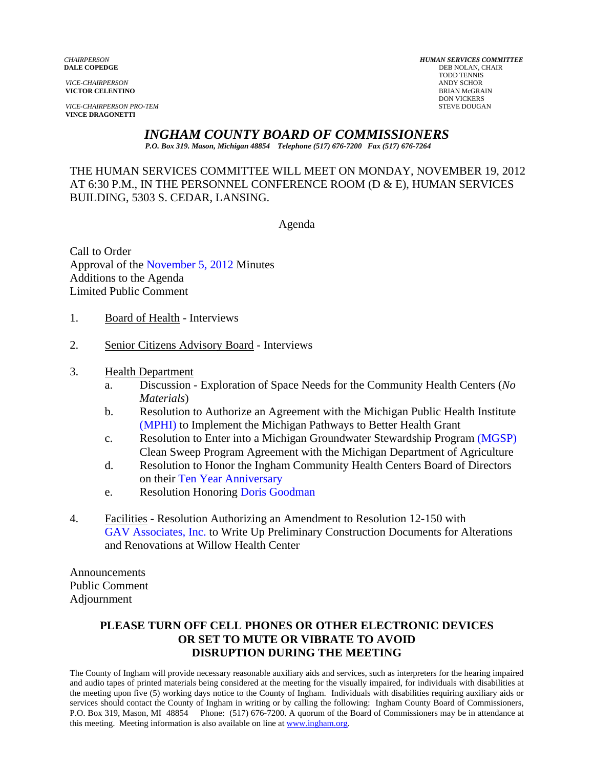**VICE-CHAIRPERSON PRO-TEM** STEVE DOUGAN **VINCE DRAGONETTI** 

*CHAIRPERSON HUMAN SERVICES COMMITTEE* **DEB NOLAN, CHAIR**  TODD TENNIS *VICE-CHAIRPERSON* ANDY SCHOR **VICTOR CELENTINO**<br>
BRIAN McGRAIN<br>
DON VICKERS **DON VICKERS** 

## *INGHAM COUNTY BOARD OF COMMISSIONERS*

*P.O. Box 319. Mason, Michigan 48854 Telephone (517) 676-7200 Fax (517) 676-7264*

THE HUMAN SERVICES COMMITTEE WILL MEET ON MONDAY, NOVEMBER 19, 2012 AT 6:30 P.M., IN THE PERSONNEL CONFERENCE ROOM (D & E), HUMAN SERVICES BUILDING, 5303 S. CEDAR, LANSING.

Agenda

Call to Order Approval [of the November 5, 2012 Minutes](#page-1-0)  Additions to the Agenda Limited Public Comment

- 1. Board of Health Interviews
- 2. Senior Citizens Advisory Board Interviews
- 3. Health Department
	- a. Discussion Exploration of Space Needs for the Community Health Centers (*No Materials*)
	- b. Resolution to Authorize an Agreement with the Michigan Public Health Institute [\(MPHI\) to Implem](#page-7-0)ent the Michigan Pathways to Better Health Grant
	- c. Resolution to Enter into a Michigan Groundwater Stewardship Pro[gram \(MGSP\)](#page-12-0) Clean Sweep Program Agreement with the Michigan Department of Agriculture
	- d. Resolution to Honor the Ingham Community Health Centers Board of Directors on thei[r Ten Year Anniversary](#page-14-0)
	- e. Resolution Honorin[g Doris Goodman](#page-16-0)
- 4. Facilities Resolution Authorizing an Amendment to Resolution 12-150 with [GAV Associates, Inc. to W](#page-17-0)rite Up Preliminary Construction Documents for Alterations and Renovations at Willow Health Center

Announcements Public Comment Adjournment

### **PLEASE TURN OFF CELL PHONES OR OTHER ELECTRONIC DEVICES OR SET TO MUTE OR VIBRATE TO AVOID DISRUPTION DURING THE MEETING**

The County of Ingham will provide necessary reasonable auxiliary aids and services, such as interpreters for the hearing impaired and audio tapes of printed materials being considered at the meeting for the visually impaired, for individuals with disabilities at the meeting upon five (5) working days notice to the County of Ingham. Individuals with disabilities requiring auxiliary aids or services should contact the County of Ingham in writing or by calling the following: Ingham County Board of Commissioners, P.O. Box 319, Mason, MI 48854 Phone: (517) 676-7200. A quorum of the Board of Commissioners may be in attendance at this meeting. Meeting information is also available on line at www.ingham.org.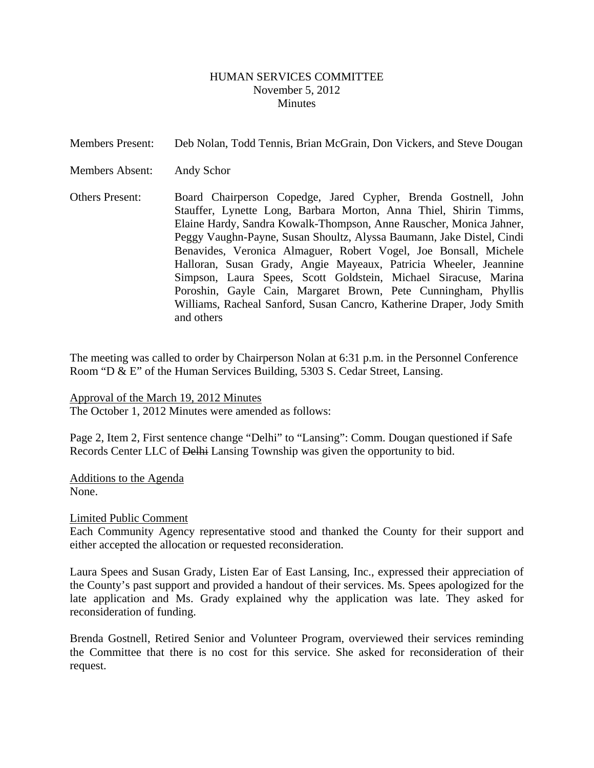### HUMAN SERVICES COMMITTEE November 5, 2012 **Minutes**

<span id="page-1-0"></span>

| <b>Members Present:</b> | Deb Nolan, Todd Tennis, Brian McGrain, Don Vickers, and Steve Dougan                                                                                                                                                                                                                                                                                                                                                                                                                                                                                                                                                                                    |
|-------------------------|---------------------------------------------------------------------------------------------------------------------------------------------------------------------------------------------------------------------------------------------------------------------------------------------------------------------------------------------------------------------------------------------------------------------------------------------------------------------------------------------------------------------------------------------------------------------------------------------------------------------------------------------------------|
| <b>Members Absent:</b>  | Andy Schor                                                                                                                                                                                                                                                                                                                                                                                                                                                                                                                                                                                                                                              |
| <b>Others Present:</b>  | Board Chairperson Copedge, Jared Cypher, Brenda Gostnell, John<br>Stauffer, Lynette Long, Barbara Morton, Anna Thiel, Shirin Timms,<br>Elaine Hardy, Sandra Kowalk-Thompson, Anne Rauscher, Monica Jahner,<br>Peggy Vaughn-Payne, Susan Shoultz, Alyssa Baumann, Jake Distel, Cindi<br>Benavides, Veronica Almaguer, Robert Vogel, Joe Bonsall, Michele<br>Halloran, Susan Grady, Angie Mayeaux, Patricia Wheeler, Jeannine<br>Simpson, Laura Spees, Scott Goldstein, Michael Siracuse, Marina<br>Poroshin, Gayle Cain, Margaret Brown, Pete Cunningham, Phyllis<br>Williams, Racheal Sanford, Susan Cancro, Katherine Draper, Jody Smith<br>and others |

The meeting was called to order by Chairperson Nolan at 6:31 p.m. in the Personnel Conference Room "D & E" of the Human Services Building, 5303 S. Cedar Street, Lansing.

Approval of the March 19, 2012 Minutes The October 1, 2012 Minutes were amended as follows:

Page 2, Item 2, First sentence change "Delhi" to "Lansing": Comm. Dougan questioned if Safe Records Center LLC of Delhi Lansing Township was given the opportunity to bid.

Additions to the Agenda None.

Limited Public Comment

Each Community Agency representative stood and thanked the County for their support and either accepted the allocation or requested reconsideration.

Laura Spees and Susan Grady, Listen Ear of East Lansing, Inc., expressed their appreciation of the County's past support and provided a handout of their services. Ms. Spees apologized for the late application and Ms. Grady explained why the application was late. They asked for reconsideration of funding.

Brenda Gostnell, Retired Senior and Volunteer Program, overviewed their services reminding the Committee that there is no cost for this service. She asked for reconsideration of their request.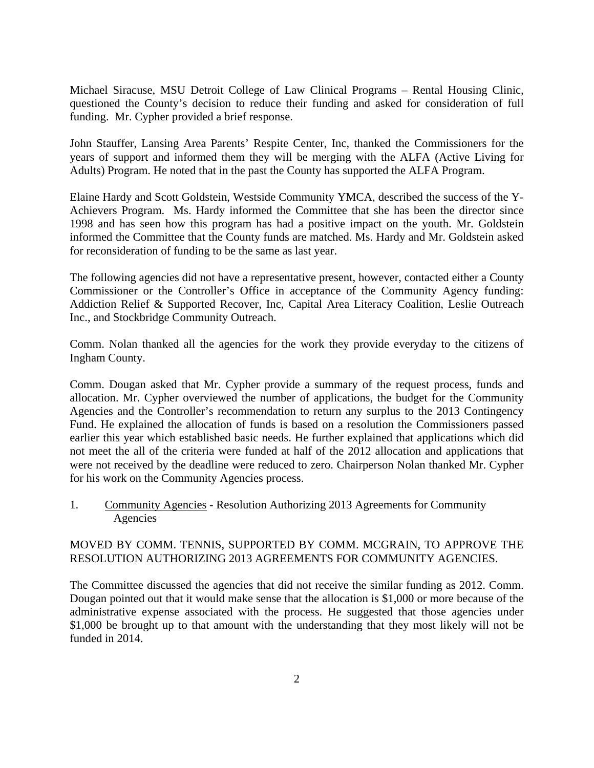Michael Siracuse, MSU Detroit College of Law Clinical Programs – Rental Housing Clinic, questioned the County's decision to reduce their funding and asked for consideration of full funding. Mr. Cypher provided a brief response.

John Stauffer, Lansing Area Parents' Respite Center, Inc, thanked the Commissioners for the years of support and informed them they will be merging with the ALFA (Active Living for Adults) Program. He noted that in the past the County has supported the ALFA Program.

Elaine Hardy and Scott Goldstein, Westside Community YMCA, described the success of the Y-Achievers Program. Ms. Hardy informed the Committee that she has been the director since 1998 and has seen how this program has had a positive impact on the youth. Mr. Goldstein informed the Committee that the County funds are matched. Ms. Hardy and Mr. Goldstein asked for reconsideration of funding to be the same as last year.

The following agencies did not have a representative present, however, contacted either a County Commissioner or the Controller's Office in acceptance of the Community Agency funding: Addiction Relief & Supported Recover, Inc, Capital Area Literacy Coalition, Leslie Outreach Inc., and Stockbridge Community Outreach.

Comm. Nolan thanked all the agencies for the work they provide everyday to the citizens of Ingham County.

Comm. Dougan asked that Mr. Cypher provide a summary of the request process, funds and allocation. Mr. Cypher overviewed the number of applications, the budget for the Community Agencies and the Controller's recommendation to return any surplus to the 2013 Contingency Fund. He explained the allocation of funds is based on a resolution the Commissioners passed earlier this year which established basic needs. He further explained that applications which did not meet the all of the criteria were funded at half of the 2012 allocation and applications that were not received by the deadline were reduced to zero. Chairperson Nolan thanked Mr. Cypher for his work on the Community Agencies process.

1. Community Agencies - Resolution Authorizing 2013 Agreements for Community Agencies

### MOVED BY COMM. TENNIS, SUPPORTED BY COMM. MCGRAIN, TO APPROVE THE RESOLUTION AUTHORIZING 2013 AGREEMENTS FOR COMMUNITY AGENCIES.

The Committee discussed the agencies that did not receive the similar funding as 2012. Comm. Dougan pointed out that it would make sense that the allocation is \$1,000 or more because of the administrative expense associated with the process. He suggested that those agencies under \$1,000 be brought up to that amount with the understanding that they most likely will not be funded in 2014.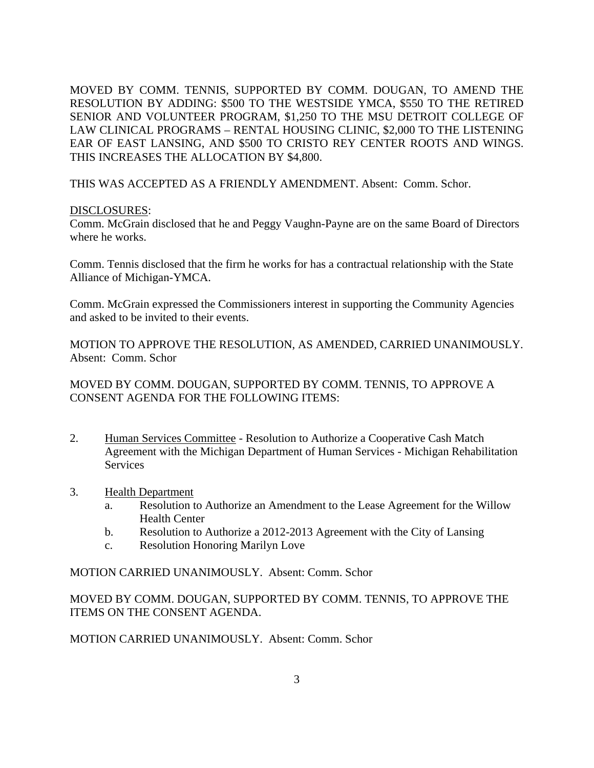MOVED BY COMM. TENNIS, SUPPORTED BY COMM. DOUGAN, TO AMEND THE RESOLUTION BY ADDING: \$500 TO THE WESTSIDE YMCA, \$550 TO THE RETIRED SENIOR AND VOLUNTEER PROGRAM, \$1,250 TO THE MSU DETROIT COLLEGE OF LAW CLINICAL PROGRAMS – RENTAL HOUSING CLINIC, \$2,000 TO THE LISTENING EAR OF EAST LANSING, AND \$500 TO CRISTO REY CENTER ROOTS AND WINGS. THIS INCREASES THE ALLOCATION BY \$4,800.

THIS WAS ACCEPTED AS A FRIENDLY AMENDMENT. Absent: Comm. Schor.

### DISCLOSURES:

Comm. McGrain disclosed that he and Peggy Vaughn-Payne are on the same Board of Directors where he works.

Comm. Tennis disclosed that the firm he works for has a contractual relationship with the State Alliance of Michigan-YMCA.

Comm. McGrain expressed the Commissioners interest in supporting the Community Agencies and asked to be invited to their events.

MOTION TO APPROVE THE RESOLUTION, AS AMENDED, CARRIED UNANIMOUSLY. Absent: Comm. Schor

MOVED BY COMM. DOUGAN, SUPPORTED BY COMM. TENNIS, TO APPROVE A CONSENT AGENDA FOR THE FOLLOWING ITEMS:

- 2. Human Services Committee Resolution to Authorize a Cooperative Cash Match Agreement with the Michigan Department of Human Services - Michigan Rehabilitation Services
- 3. Health Department
	- a. Resolution to Authorize an Amendment to the Lease Agreement for the Willow Health Center
	- b. Resolution to Authorize a 2012-2013 Agreement with the City of Lansing
	- c. Resolution Honoring Marilyn Love

MOTION CARRIED UNANIMOUSLY. Absent: Comm. Schor

MOVED BY COMM. DOUGAN, SUPPORTED BY COMM. TENNIS, TO APPROVE THE ITEMS ON THE CONSENT AGENDA.

MOTION CARRIED UNANIMOUSLY. Absent: Comm. Schor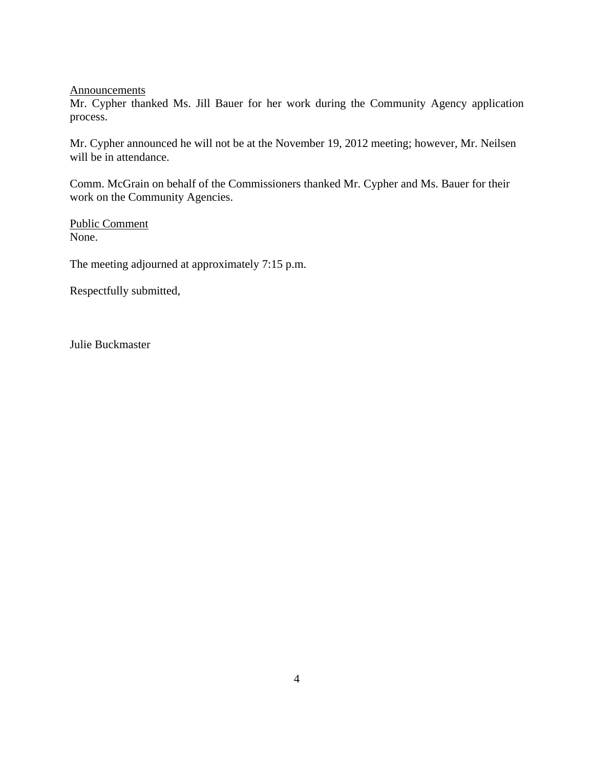**Announcements** 

Mr. Cypher thanked Ms. Jill Bauer for her work during the Community Agency application process.

Mr. Cypher announced he will not be at the November 19, 2012 meeting; however, Mr. Neilsen will be in attendance.

Comm. McGrain on behalf of the Commissioners thanked Mr. Cypher and Ms. Bauer for their work on the Community Agencies.

Public Comment None.

The meeting adjourned at approximately 7:15 p.m.

Respectfully submitted,

Julie Buckmaster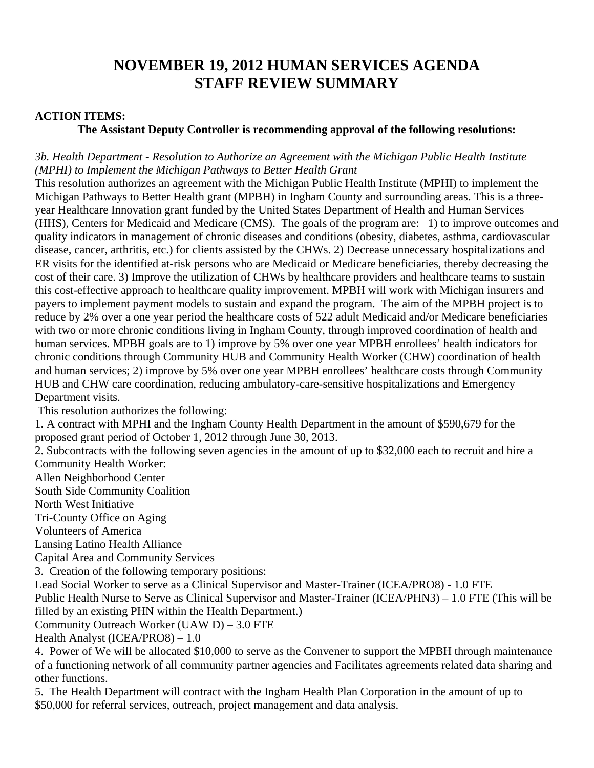# **NOVEMBER 19, 2012 HUMAN SERVICES AGENDA STAFF REVIEW SUMMARY**

### **ACTION ITEMS:**

## **The Assistant Deputy Controller is recommending approval of the following resolutions:**

## *3b. Health Department - Resolution to Authorize an Agreement with the Michigan Public Health Institute (MPHI) to Implement the Michigan Pathways to Better Health Grant*

This resolution authorizes an agreement with the Michigan Public Health Institute (MPHI) to implement the Michigan Pathways to Better Health grant (MPBH) in Ingham County and surrounding areas. This is a threeyear Healthcare Innovation grant funded by the United States Department of Health and Human Services (HHS), Centers for Medicaid and Medicare (CMS). The goals of the program are: 1) to improve outcomes and quality indicators in management of chronic diseases and conditions (obesity, diabetes, asthma, cardiovascular disease, cancer, arthritis, etc.) for clients assisted by the CHWs. 2) Decrease unnecessary hospitalizations and ER visits for the identified at-risk persons who are Medicaid or Medicare beneficiaries, thereby decreasing the cost of their care. 3) Improve the utilization of CHWs by healthcare providers and healthcare teams to sustain this cost-effective approach to healthcare quality improvement. MPBH will work with Michigan insurers and payers to implement payment models to sustain and expand the program. The aim of the MPBH project is to reduce by 2% over a one year period the healthcare costs of 522 adult Medicaid and/or Medicare beneficiaries with two or more chronic conditions living in Ingham County, through improved coordination of health and human services. MPBH goals are to 1) improve by 5% over one year MPBH enrollees' health indicators for chronic conditions through Community HUB and Community Health Worker (CHW) coordination of health and human services; 2) improve by 5% over one year MPBH enrollees' healthcare costs through Community HUB and CHW care coordination, reducing ambulatory-care-sensitive hospitalizations and Emergency Department visits.

This resolution authorizes the following:

1. A contract with MPHI and the Ingham County Health Department in the amount of \$590,679 for the proposed grant period of October 1, 2012 through June 30, 2013.

2. Subcontracts with the following seven agencies in the amount of up to \$32,000 each to recruit and hire a Community Health Worker:

Allen Neighborhood Center

South Side Community Coalition

North West Initiative

Tri-County Office on Aging

Volunteers of America

Lansing Latino Health Alliance

Capital Area and Community Services

3. Creation of the following temporary positions:

Lead Social Worker to serve as a Clinical Supervisor and Master-Trainer (ICEA/PRO8) - 1.0 FTE

Public Health Nurse to Serve as Clinical Supervisor and Master-Trainer (ICEA/PHN3) – 1.0 FTE (This will be filled by an existing PHN within the Health Department.)

Community Outreach Worker (UAW D) – 3.0 FTE

Health Analyst (ICEA/PRO8) – 1.0

4. Power of We will be allocated \$10,000 to serve as the Convener to support the MPBH through maintenance of a functioning network of all community partner agencies and Facilitates agreements related data sharing and other functions.

5. The Health Department will contract with the Ingham Health Plan Corporation in the amount of up to \$50,000 for referral services, outreach, project management and data analysis.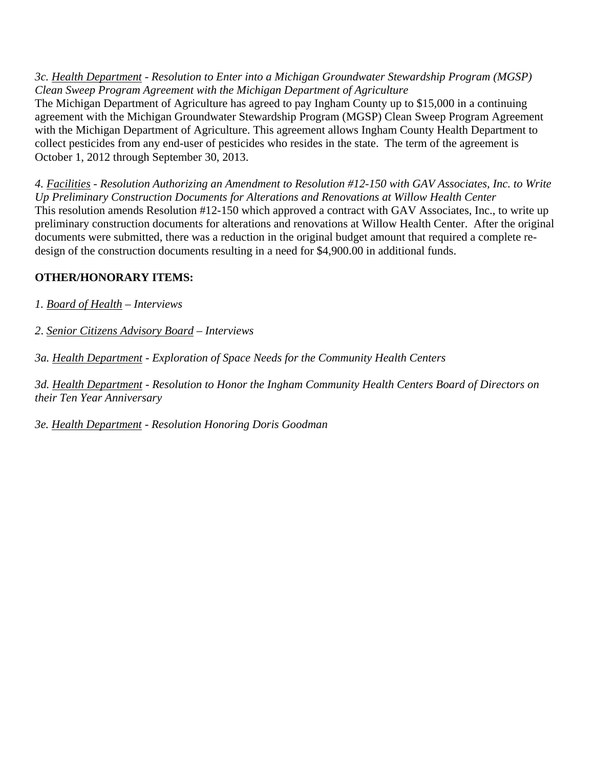*3c. Health Department - Resolution to Enter into a Michigan Groundwater Stewardship Program (MGSP) Clean Sweep Program Agreement with the Michigan Department of Agriculture* 

The Michigan Department of Agriculture has agreed to pay Ingham County up to \$15,000 in a continuing agreement with the Michigan Groundwater Stewardship Program (MGSP) Clean Sweep Program Agreement with the Michigan Department of Agriculture. This agreement allows Ingham County Health Department to collect pesticides from any end-user of pesticides who resides in the state. The term of the agreement is October 1, 2012 through September 30, 2013.

*4. Facilities - Resolution Authorizing an Amendment to Resolution #12-150 with GAV Associates, Inc. to Write Up Preliminary Construction Documents for Alterations and Renovations at Willow Health Center*  This resolution amends Resolution #12-150 which approved a contract with GAV Associates, Inc., to write up preliminary construction documents for alterations and renovations at Willow Health Center. After the original documents were submitted, there was a reduction in the original budget amount that required a complete redesign of the construction documents resulting in a need for \$4,900.00 in additional funds.

## **OTHER/HONORARY ITEMS:**

*1. Board of Health – Interviews* 

*2*. *Senior Citizens Advisory Board – Interviews* 

*3a. Health Department - Exploration of Space Needs for the Community Health Centers* 

*3d. Health Department - Resolution to Honor the Ingham Community Health Centers Board of Directors on their Ten Year Anniversary* 

*3e. Health Department - Resolution Honoring Doris Goodman*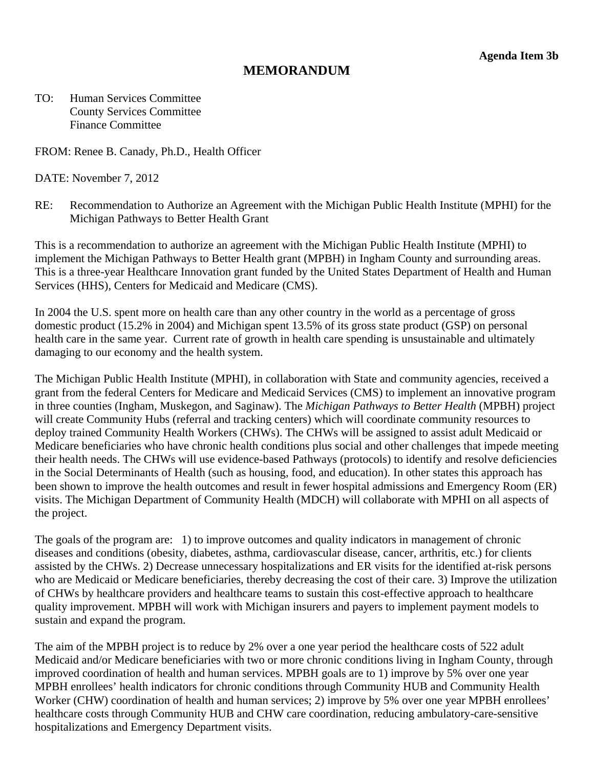## **MEMORANDUM**

<span id="page-7-0"></span>TO: Human Services Committee County Services Committee Finance Committee

FROM: Renee B. Canady, Ph.D., Health Officer

DATE: November 7, 2012

RE: Recommendation to Authorize an Agreement with the Michigan Public Health Institute (MPHI) for the Michigan Pathways to Better Health Grant

This is a recommendation to authorize an agreement with the Michigan Public Health Institute (MPHI) to implement the Michigan Pathways to Better Health grant (MPBH) in Ingham County and surrounding areas. This is a three-year Healthcare Innovation grant funded by the United States Department of Health and Human Services (HHS), Centers for Medicaid and Medicare (CMS).

In 2004 the U.S. spent more on health care than any other country in the world as a percentage of gross domestic product (15.2% in 2004) and Michigan spent 13.5% of its gross state product (GSP) on personal health care in the same year. Current rate of growth in health care spending is unsustainable and ultimately damaging to our economy and the health system.

The Michigan Public Health Institute (MPHI), in collaboration with State and community agencies, received a grant from the federal Centers for Medicare and Medicaid Services (CMS) to implement an innovative program in three counties (Ingham, Muskegon, and Saginaw). The *Michigan Pathways to Better Health* (MPBH) project will create Community Hubs (referral and tracking centers) which will coordinate community resources to deploy trained Community Health Workers (CHWs). The CHWs will be assigned to assist adult Medicaid or Medicare beneficiaries who have chronic health conditions plus social and other challenges that impede meeting their health needs. The CHWs will use evidence-based Pathways (protocols) to identify and resolve deficiencies in the Social Determinants of Health (such as housing, food, and education). In other states this approach has been shown to improve the health outcomes and result in fewer hospital admissions and Emergency Room (ER) visits. The Michigan Department of Community Health (MDCH) will collaborate with MPHI on all aspects of the project.

The goals of the program are: 1) to improve outcomes and quality indicators in management of chronic diseases and conditions (obesity, diabetes, asthma, cardiovascular disease, cancer, arthritis, etc.) for clients assisted by the CHWs. 2) Decrease unnecessary hospitalizations and ER visits for the identified at-risk persons who are Medicaid or Medicare beneficiaries, thereby decreasing the cost of their care. 3) Improve the utilization of CHWs by healthcare providers and healthcare teams to sustain this cost-effective approach to healthcare quality improvement. MPBH will work with Michigan insurers and payers to implement payment models to sustain and expand the program.

The aim of the MPBH project is to reduce by 2% over a one year period the healthcare costs of 522 adult Medicaid and/or Medicare beneficiaries with two or more chronic conditions living in Ingham County, through improved coordination of health and human services. MPBH goals are to 1) improve by 5% over one year MPBH enrollees' health indicators for chronic conditions through Community HUB and Community Health Worker (CHW) coordination of health and human services; 2) improve by 5% over one year MPBH enrollees' healthcare costs through Community HUB and CHW care coordination, reducing ambulatory-care-sensitive hospitalizations and Emergency Department visits.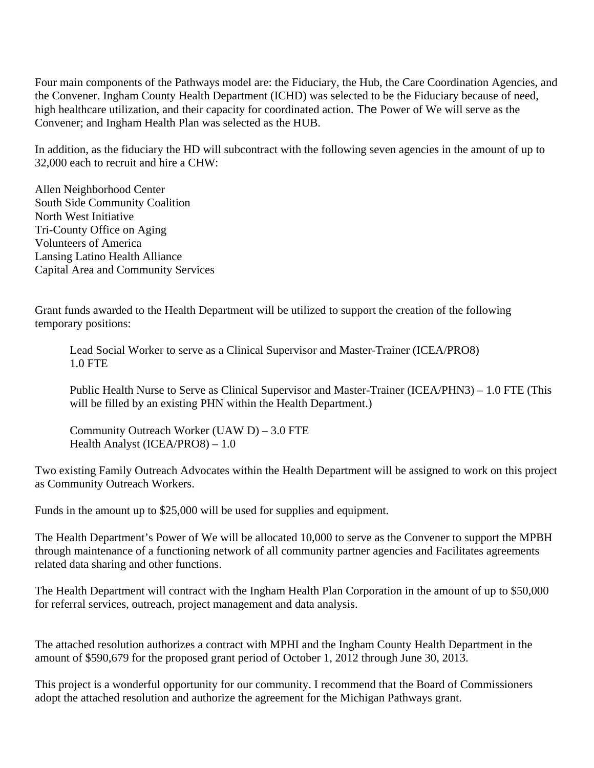Four main components of the Pathways model are: the Fiduciary, the Hub, the Care Coordination Agencies, and the Convener. Ingham County Health Department (ICHD) was selected to be the Fiduciary because of need, high healthcare utilization, and their capacity for coordinated action. The Power of We will serve as the Convener; and Ingham Health Plan was selected as the HUB.

In addition, as the fiduciary the HD will subcontract with the following seven agencies in the amount of up to 32,000 each to recruit and hire a CHW:

Allen Neighborhood Center South Side Community Coalition North West Initiative Tri-County Office on Aging Volunteers of America Lansing Latino Health Alliance Capital Area and Community Services

Grant funds awarded to the Health Department will be utilized to support the creation of the following temporary positions:

 Lead Social Worker to serve as a Clinical Supervisor and Master-Trainer (ICEA/PRO8) 1.0 FTE

Public Health Nurse to Serve as Clinical Supervisor and Master-Trainer (ICEA/PHN3) – 1.0 FTE (This will be filled by an existing PHN within the Health Department.)

Community Outreach Worker (UAW D) – 3.0 FTE Health Analyst (ICEA/PRO8) – 1.0

Two existing Family Outreach Advocates within the Health Department will be assigned to work on this project as Community Outreach Workers.

Funds in the amount up to \$25,000 will be used for supplies and equipment.

The Health Department's Power of We will be allocated 10,000 to serve as the Convener to support the MPBH through maintenance of a functioning network of all community partner agencies and Facilitates agreements related data sharing and other functions.

The Health Department will contract with the Ingham Health Plan Corporation in the amount of up to \$50,000 for referral services, outreach, project management and data analysis.

The attached resolution authorizes a contract with MPHI and the Ingham County Health Department in the amount of \$590,679 for the proposed grant period of October 1, 2012 through June 30, 2013.

This project is a wonderful opportunity for our community. I recommend that the Board of Commissioners adopt the attached resolution and authorize the agreement for the Michigan Pathways grant.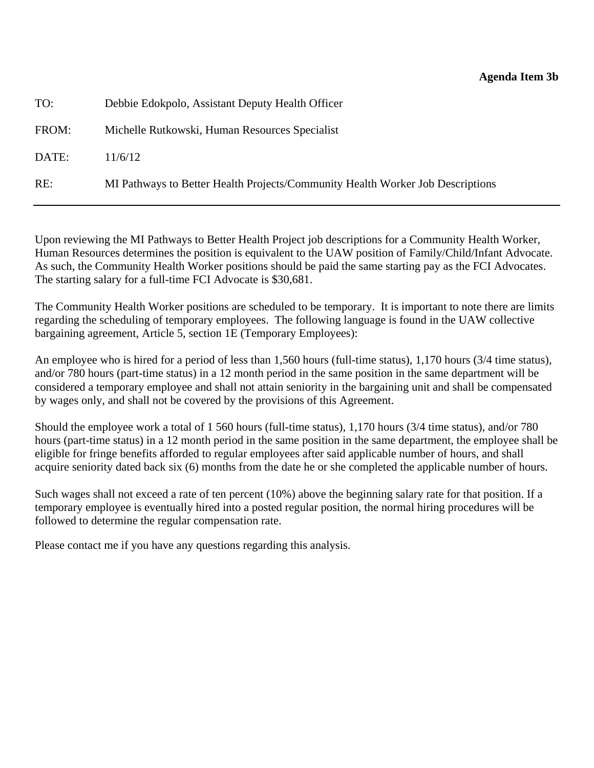### **Agenda Item 3b**

| TO:   | Debbie Edokpolo, Assistant Deputy Health Officer                               |
|-------|--------------------------------------------------------------------------------|
| FROM: | Michelle Rutkowski, Human Resources Specialist                                 |
| DATE: | 11/6/12                                                                        |
| RE:   | MI Pathways to Better Health Projects/Community Health Worker Job Descriptions |

Upon reviewing the MI Pathways to Better Health Project job descriptions for a Community Health Worker, Human Resources determines the position is equivalent to the UAW position of Family/Child/Infant Advocate. As such, the Community Health Worker positions should be paid the same starting pay as the FCI Advocates. The starting salary for a full-time FCI Advocate is \$30,681.

The Community Health Worker positions are scheduled to be temporary. It is important to note there are limits regarding the scheduling of temporary employees. The following language is found in the UAW collective bargaining agreement, Article 5, section 1E (Temporary Employees):

An employee who is hired for a period of less than 1,560 hours (full-time status), 1,170 hours (3/4 time status), and/or 780 hours (part-time status) in a 12 month period in the same position in the same department will be considered a temporary employee and shall not attain seniority in the bargaining unit and shall be compensated by wages only, and shall not be covered by the provisions of this Agreement.

Should the employee work a total of 1 560 hours (full-time status), 1,170 hours (3/4 time status), and/or 780 hours (part-time status) in a 12 month period in the same position in the same department, the employee shall be eligible for fringe benefits afforded to regular employees after said applicable number of hours, and shall acquire seniority dated back six (6) months from the date he or she completed the applicable number of hours.

Such wages shall not exceed a rate of ten percent (10%) above the beginning salary rate for that position. If a temporary employee is eventually hired into a posted regular position, the normal hiring procedures will be followed to determine the regular compensation rate.

Please contact me if you have any questions regarding this analysis.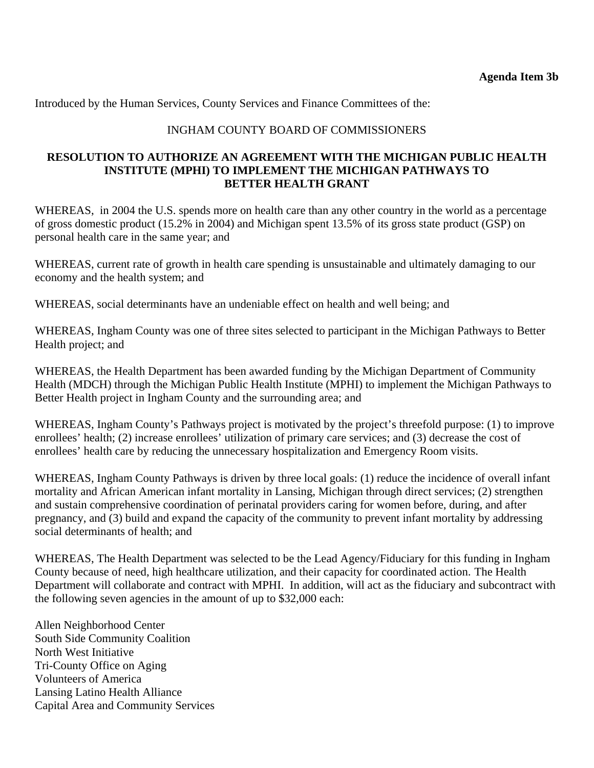Introduced by the Human Services, County Services and Finance Committees of the:

### INGHAM COUNTY BOARD OF COMMISSIONERS

### **RESOLUTION TO AUTHORIZE AN AGREEMENT WITH THE MICHIGAN PUBLIC HEALTH INSTITUTE (MPHI) TO IMPLEMENT THE MICHIGAN PATHWAYS TO BETTER HEALTH GRANT**

WHEREAS, in 2004 the U.S. spends more on health care than any other country in the world as a percentage of gross domestic product (15.2% in 2004) and Michigan spent 13.5% of its gross state product (GSP) on personal health care in the same year; and

WHEREAS, current rate of growth in health care spending is unsustainable and ultimately damaging to our economy and the health system; and

WHEREAS, social determinants have an undeniable effect on health and well being; and

WHEREAS, Ingham County was one of three sites selected to participant in the Michigan Pathways to Better Health project; and

WHEREAS, the Health Department has been awarded funding by the Michigan Department of Community Health (MDCH) through the Michigan Public Health Institute (MPHI) to implement the Michigan Pathways to Better Health project in Ingham County and the surrounding area; and

WHEREAS, Ingham County's Pathways project is motivated by the project's threefold purpose: (1) to improve enrollees' health; (2) increase enrollees' utilization of primary care services; and (3) decrease the cost of enrollees' health care by reducing the unnecessary hospitalization and Emergency Room visits.

WHEREAS, Ingham County Pathways is driven by three local goals: (1) reduce the incidence of overall infant mortality and African American infant mortality in Lansing, Michigan through direct services; (2) strengthen and sustain comprehensive coordination of perinatal providers caring for women before, during, and after pregnancy, and (3) build and expand the capacity of the community to prevent infant mortality by addressing social determinants of health; and

WHEREAS, The Health Department was selected to be the Lead Agency/Fiduciary for this funding in Ingham County because of need, high healthcare utilization, and their capacity for coordinated action. The Health Department will collaborate and contract with MPHI. In addition, will act as the fiduciary and subcontract with the following seven agencies in the amount of up to \$32,000 each:

Allen Neighborhood Center South Side Community Coalition North West Initiative Tri-County Office on Aging Volunteers of America Lansing Latino Health Alliance Capital Area and Community Services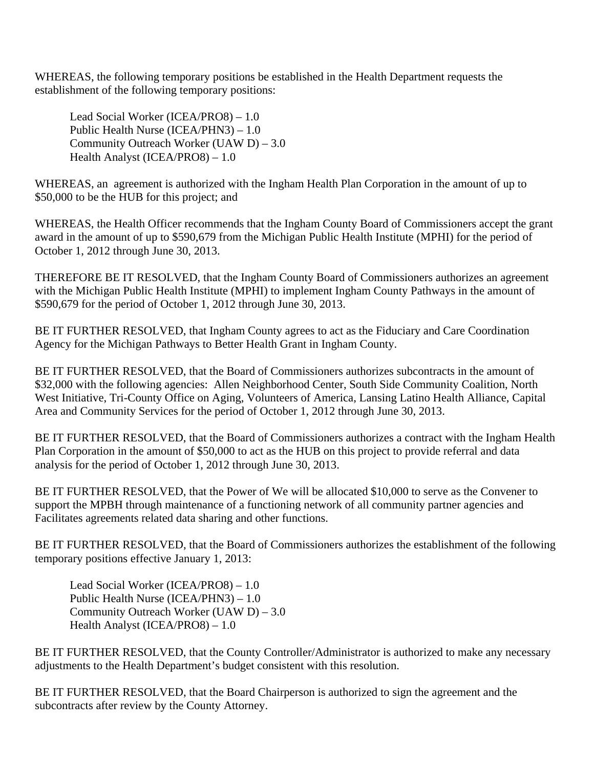WHEREAS, the following temporary positions be established in the Health Department requests the establishment of the following temporary positions:

Lead Social Worker (ICEA/PRO8) – 1.0 Public Health Nurse (ICEA/PHN3) – 1.0 Community Outreach Worker (UAW D) – 3.0 Health Analyst (ICEA/PRO8) – 1.0

WHEREAS, an agreement is authorized with the Ingham Health Plan Corporation in the amount of up to \$50,000 to be the HUB for this project; and

WHEREAS, the Health Officer recommends that the Ingham County Board of Commissioners accept the grant award in the amount of up to \$590,679 from the Michigan Public Health Institute (MPHI) for the period of October 1, 2012 through June 30, 2013.

THEREFORE BE IT RESOLVED, that the Ingham County Board of Commissioners authorizes an agreement with the Michigan Public Health Institute (MPHI) to implement Ingham County Pathways in the amount of \$590,679 for the period of October 1, 2012 through June 30, 2013.

BE IT FURTHER RESOLVED, that Ingham County agrees to act as the Fiduciary and Care Coordination Agency for the Michigan Pathways to Better Health Grant in Ingham County.

BE IT FURTHER RESOLVED, that the Board of Commissioners authorizes subcontracts in the amount of \$32,000 with the following agencies: Allen Neighborhood Center, South Side Community Coalition, North West Initiative, Tri-County Office on Aging, Volunteers of America, Lansing Latino Health Alliance, Capital Area and Community Services for the period of October 1, 2012 through June 30, 2013.

BE IT FURTHER RESOLVED, that the Board of Commissioners authorizes a contract with the Ingham Health Plan Corporation in the amount of \$50,000 to act as the HUB on this project to provide referral and data analysis for the period of October 1, 2012 through June 30, 2013.

BE IT FURTHER RESOLVED, that the Power of We will be allocated \$10,000 to serve as the Convener to support the MPBH through maintenance of a functioning network of all community partner agencies and Facilitates agreements related data sharing and other functions.

BE IT FURTHER RESOLVED, that the Board of Commissioners authorizes the establishment of the following temporary positions effective January 1, 2013:

Lead Social Worker (ICEA/PRO8) – 1.0 Public Health Nurse (ICEA/PHN3) – 1.0 Community Outreach Worker (UAW D) – 3.0 Health Analyst (ICEA/PRO8) – 1.0

BE IT FURTHER RESOLVED, that the County Controller/Administrator is authorized to make any necessary adjustments to the Health Department's budget consistent with this resolution.

BE IT FURTHER RESOLVED, that the Board Chairperson is authorized to sign the agreement and the subcontracts after review by the County Attorney.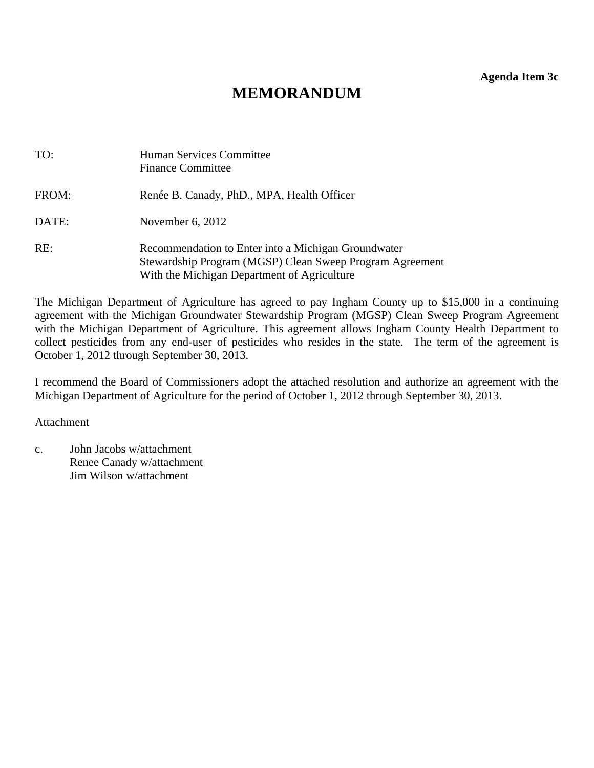**Agenda Item 3c** 

# **MEMORANDUM**

<span id="page-12-0"></span>

| TO:   | Human Services Committee<br><b>Finance Committee</b>                                                                                                           |
|-------|----------------------------------------------------------------------------------------------------------------------------------------------------------------|
| FROM: | Renée B. Canady, PhD., MPA, Health Officer                                                                                                                     |
| DATE: | November $6, 2012$                                                                                                                                             |
| RE:   | Recommendation to Enter into a Michigan Groundwater<br>Stewardship Program (MGSP) Clean Sweep Program Agreement<br>With the Michigan Department of Agriculture |

The Michigan Department of Agriculture has agreed to pay Ingham County up to \$15,000 in a continuing agreement with the Michigan Groundwater Stewardship Program (MGSP) Clean Sweep Program Agreement with the Michigan Department of Agriculture. This agreement allows Ingham County Health Department to collect pesticides from any end-user of pesticides who resides in the state. The term of the agreement is October 1, 2012 through September 30, 2013.

I recommend the Board of Commissioners adopt the attached resolution and authorize an agreement with the Michigan Department of Agriculture for the period of October 1, 2012 through September 30, 2013.

Attachment

c. John Jacobs w/attachment Renee Canady w/attachment Jim Wilson w/attachment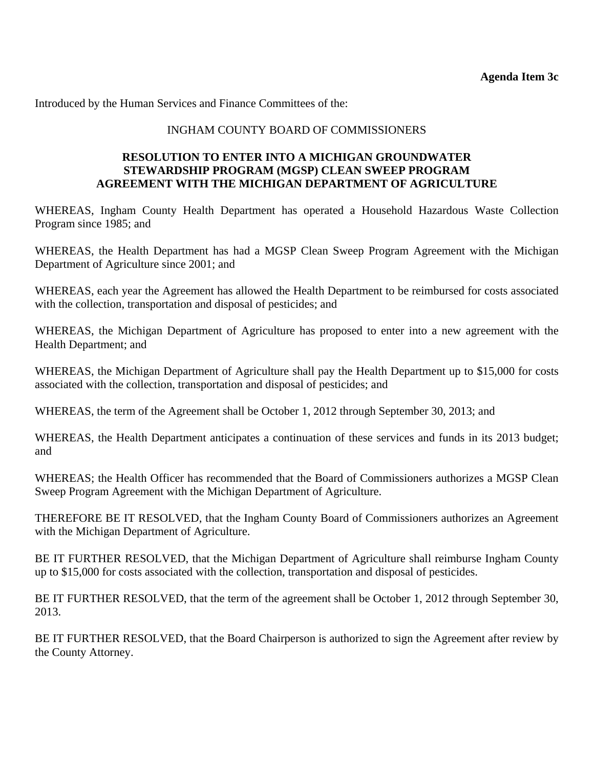Introduced by the Human Services and Finance Committees of the:

### INGHAM COUNTY BOARD OF COMMISSIONERS

### **RESOLUTION TO ENTER INTO A MICHIGAN GROUNDWATER STEWARDSHIP PROGRAM (MGSP) CLEAN SWEEP PROGRAM AGREEMENT WITH THE MICHIGAN DEPARTMENT OF AGRICULTURE**

WHEREAS, Ingham County Health Department has operated a Household Hazardous Waste Collection Program since 1985; and

WHEREAS, the Health Department has had a MGSP Clean Sweep Program Agreement with the Michigan Department of Agriculture since 2001; and

WHEREAS, each year the Agreement has allowed the Health Department to be reimbursed for costs associated with the collection, transportation and disposal of pesticides; and

WHEREAS, the Michigan Department of Agriculture has proposed to enter into a new agreement with the Health Department; and

WHEREAS, the Michigan Department of Agriculture shall pay the Health Department up to \$15,000 for costs associated with the collection, transportation and disposal of pesticides; and

WHEREAS, the term of the Agreement shall be October 1, 2012 through September 30, 2013; and

WHEREAS, the Health Department anticipates a continuation of these services and funds in its 2013 budget; and

WHEREAS; the Health Officer has recommended that the Board of Commissioners authorizes a MGSP Clean Sweep Program Agreement with the Michigan Department of Agriculture.

THEREFORE BE IT RESOLVED, that the Ingham County Board of Commissioners authorizes an Agreement with the Michigan Department of Agriculture.

BE IT FURTHER RESOLVED, that the Michigan Department of Agriculture shall reimburse Ingham County up to \$15,000 for costs associated with the collection, transportation and disposal of pesticides.

BE IT FURTHER RESOLVED, that the term of the agreement shall be October 1, 2012 through September 30, 2013.

BE IT FURTHER RESOLVED, that the Board Chairperson is authorized to sign the Agreement after review by the County Attorney.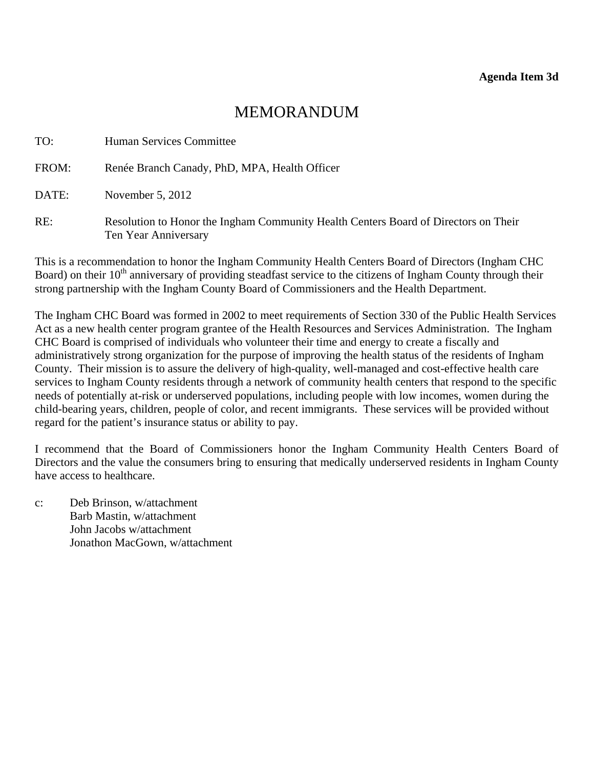## MEMORANDUM

<span id="page-14-0"></span>

| TO:   | Human Services Committee                                                                                    |
|-------|-------------------------------------------------------------------------------------------------------------|
| FROM: | Renée Branch Canady, PhD, MPA, Health Officer                                                               |
| DATE: | November $5, 2012$                                                                                          |
| RE:   | Resolution to Honor the Ingham Community Health Centers Board of Directors on Their<br>Ten Year Anniversary |

This is a recommendation to honor the Ingham Community Health Centers Board of Directors (Ingham CHC Board) on their  $10<sup>th</sup>$  anniversary of providing steadfast service to the citizens of Ingham County through their strong partnership with the Ingham County Board of Commissioners and the Health Department.

The Ingham CHC Board was formed in 2002 to meet requirements of Section 330 of the Public Health Services Act as a new health center program grantee of the Health Resources and Services Administration. The Ingham CHC Board is comprised of individuals who volunteer their time and energy to create a fiscally and administratively strong organization for the purpose of improving the health status of the residents of Ingham County. Their mission is to assure the delivery of high-quality, well-managed and cost-effective health care services to Ingham County residents through a network of community health centers that respond to the specific needs of potentially at-risk or underserved populations, including people with low incomes, women during the child-bearing years, children, people of color, and recent immigrants. These services will be provided without regard for the patient's insurance status or ability to pay.

I recommend that the Board of Commissioners honor the Ingham Community Health Centers Board of Directors and the value the consumers bring to ensuring that medically underserved residents in Ingham County have access to healthcare.

c: Deb Brinson, w/attachment Barb Mastin, w/attachment John Jacobs w/attachment Jonathon MacGown, w/attachment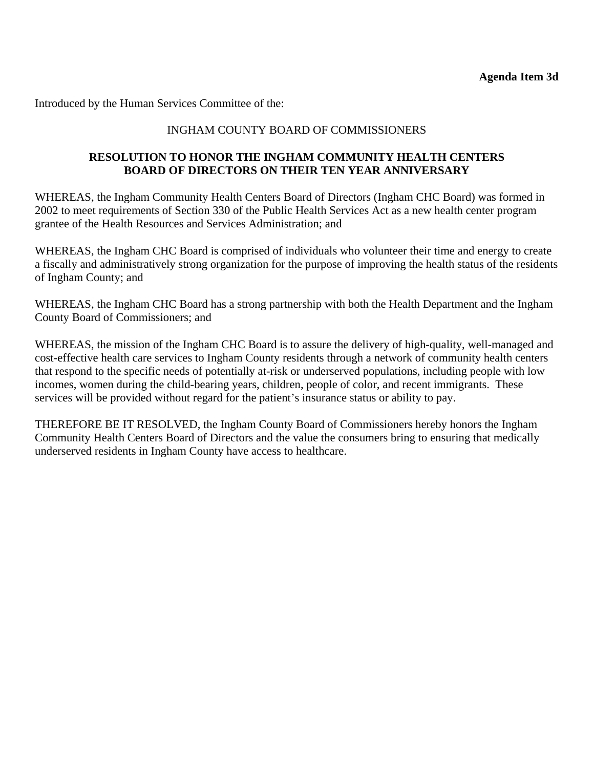Introduced by the Human Services Committee of the:

### INGHAM COUNTY BOARD OF COMMISSIONERS

### **RESOLUTION TO HONOR THE INGHAM COMMUNITY HEALTH CENTERS BOARD OF DIRECTORS ON THEIR TEN YEAR ANNIVERSARY**

WHEREAS, the Ingham Community Health Centers Board of Directors (Ingham CHC Board) was formed in 2002 to meet requirements of Section 330 of the Public Health Services Act as a new health center program grantee of the Health Resources and Services Administration; and

WHEREAS, the Ingham CHC Board is comprised of individuals who volunteer their time and energy to create a fiscally and administratively strong organization for the purpose of improving the health status of the residents of Ingham County; and

WHEREAS, the Ingham CHC Board has a strong partnership with both the Health Department and the Ingham County Board of Commissioners; and

WHEREAS, the mission of the Ingham CHC Board is to assure the delivery of high-quality, well-managed and cost-effective health care services to Ingham County residents through a network of community health centers that respond to the specific needs of potentially at-risk or underserved populations, including people with low incomes, women during the child-bearing years, children, people of color, and recent immigrants. These services will be provided without regard for the patient's insurance status or ability to pay.

THEREFORE BE IT RESOLVED, the Ingham County Board of Commissioners hereby honors the Ingham Community Health Centers Board of Directors and the value the consumers bring to ensuring that medically underserved residents in Ingham County have access to healthcare.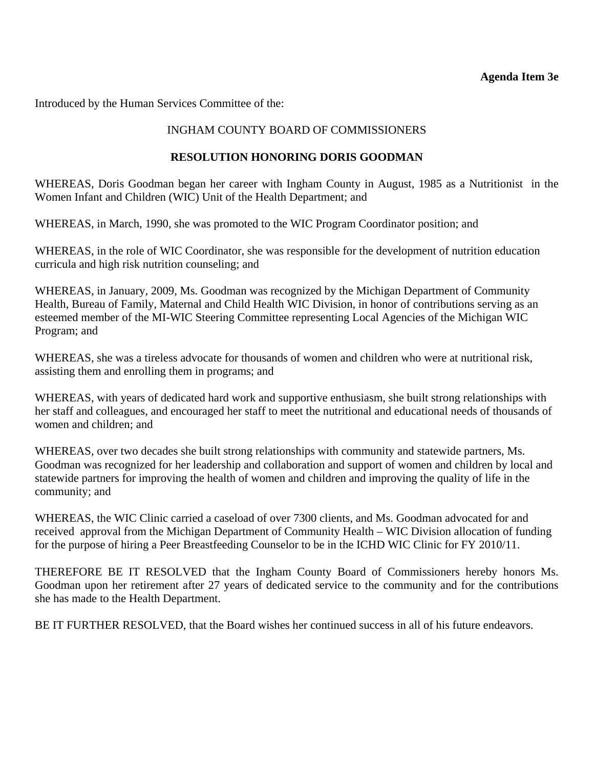### **Agenda Item 3e**

<span id="page-16-0"></span>Introduced by the Human Services Committee of the:

### INGHAM COUNTY BOARD OF COMMISSIONERS

### **RESOLUTION HONORING DORIS GOODMAN**

WHEREAS, Doris Goodman began her career with Ingham County in August, 1985 as a Nutritionist in the Women Infant and Children (WIC) Unit of the Health Department; and

WHEREAS, in March, 1990, she was promoted to the WIC Program Coordinator position; and

WHEREAS, in the role of WIC Coordinator, she was responsible for the development of nutrition education curricula and high risk nutrition counseling; and

WHEREAS, in January, 2009, Ms. Goodman was recognized by the Michigan Department of Community Health, Bureau of Family, Maternal and Child Health WIC Division, in honor of contributions serving as an esteemed member of the MI-WIC Steering Committee representing Local Agencies of the Michigan WIC Program; and

WHEREAS, she was a tireless advocate for thousands of women and children who were at nutritional risk, assisting them and enrolling them in programs; and

WHEREAS, with years of dedicated hard work and supportive enthusiasm, she built strong relationships with her staff and colleagues, and encouraged her staff to meet the nutritional and educational needs of thousands of women and children; and

WHEREAS, over two decades she built strong relationships with community and statewide partners, Ms. Goodman was recognized for her leadership and collaboration and support of women and children by local and statewide partners for improving the health of women and children and improving the quality of life in the community; and

WHEREAS, the WIC Clinic carried a caseload of over 7300 clients, and Ms. Goodman advocated for and received approval from the Michigan Department of Community Health – WIC Division allocation of funding for the purpose of hiring a Peer Breastfeeding Counselor to be in the ICHD WIC Clinic for FY 2010/11.

THEREFORE BE IT RESOLVED that the Ingham County Board of Commissioners hereby honors Ms. Goodman upon her retirement after 27 years of dedicated service to the community and for the contributions she has made to the Health Department.

BE IT FURTHER RESOLVED, that the Board wishes her continued success in all of his future endeavors.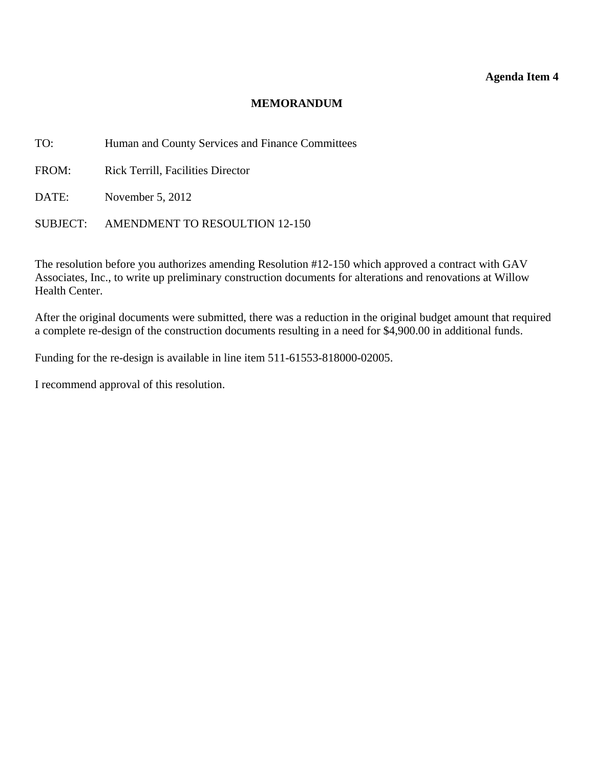### **Agenda Item 4**

### **MEMORANDUM**

<span id="page-17-0"></span>TO: Human and County Services and Finance Committees

FROM: Rick Terrill, Facilities Director

DATE: November 5, 2012

SUBJECT: AMENDMENT TO RESOULTION 12-150

The resolution before you authorizes amending Resolution #12-150 which approved a contract with GAV Associates, Inc., to write up preliminary construction documents for alterations and renovations at Willow Health Center.

After the original documents were submitted, there was a reduction in the original budget amount that required a complete re-design of the construction documents resulting in a need for \$4,900.00 in additional funds.

Funding for the re-design is available in line item 511-61553-818000-02005.

I recommend approval of this resolution.